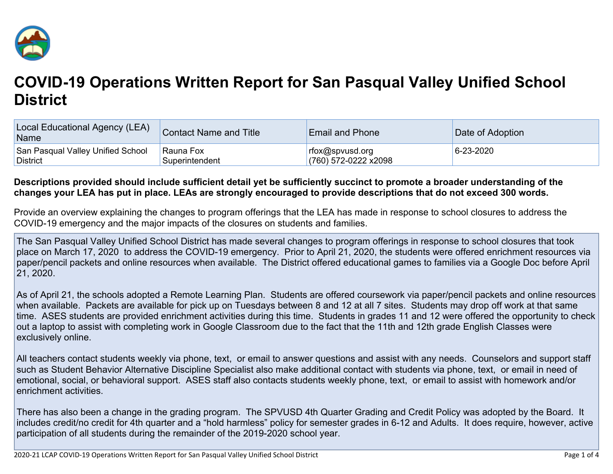

## **COVID-19 Operations Written Report for San Pasqual Valley Unified School District**

| Local Educational Agency (LEA)<br>Name | Contact Name and Title | <b>Email and Phone</b> | Date of Adoption |
|----------------------------------------|------------------------|------------------------|------------------|
| San Pasqual Valley Unified School      | Rauna Fox              | rfox@spvusd.org        | 6-23-2020        |
| <b>District</b>                        | Superintendent         | (760) 572-0222 x2098   |                  |

## Descriptions provided should include sufficient detail yet be sufficiently succinct to promote a broader understanding of the changes your LEA has put in place. LEAs are strongly encouraged to provide descriptions that do not exceed 300 words.

Provide an overview explaining the changes to program offerings that the LEA has made in response to school closures to address the COVID-19 emergency and the major impacts of the closures on students and families.

The San Pasqual Valley Unified School District has made several changes to program offerings in response to school closures that took place on March 17, 2020 to address the COVID-19 emergency. Prior to April 21, 2020, the students were offered enrichment resources via paper/pencil packets and online resources when available. The District offered educational games to families via a Google Doc before April 21, 2020.

As of April 21, the schools adopted a Remote Learning Plan. Students are offered coursework via paper/pencil packets and online resources when available. Packets are available for pick up on Tuesdays between 8 and 12 at all 7 sites. Students may drop off work at that same time. ASES students are provided enrichment activities during this time. Students in grades 11 and 12 were offered the opportunity to check out a laptop to assist with completing work in Google Classroom due to the fact that the 11th and 12th grade English Classes were exclusively online.

All teachers contact students weekly via phone, text, or email to answer questions and assist with any needs. Counselors and support staff such as Student Behavior Alternative Discipline Specialist also make additional contact with students via phone, text, or email in need of emotional, social, or behavioral support. ASES staff also contacts students weekly phone, text, or email to assist with homework and/or enrichment activities.

There has also been a change in the grading program. The SPVUSD 4th Quarter Grading and Credit Policy was adopted by the Board. It includes credit/no credit for 4th quarter and a "hold harmless" policy for semester grades in 6-12 and Adults. It does require, however, active participation of all students during the remainder of the 2019-2020 school year.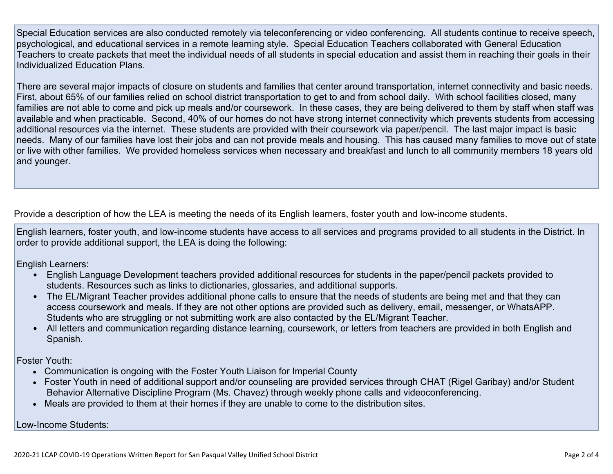Special Education services are also conducted remotely via teleconferencing or video conferencing. All students continue to receive speech, psychological, and educational services in a remote learning style. Special Education Teachers collaborated with General Education Teachers to create packets that meet the individual needs of all students in special education and assist them in reaching their goals in their Individualized Education Plans.

There are several major impacts of closure on students and families that center around transportation, internet connectivity and basic needs. First, about 65% of our families relied on school district transportation to get to and from school daily. With school facilities closed, many families are not able to come and pick up meals and/or coursework. In these cases, they are being delivered to them by staff when staff was available and when practicable. Second, 40% of our homes do not have strong internet connectivity which prevents students from accessing additional resources via the internet. These students are provided with their coursework via paper/pencil. The last major impact is basic needs. Many of our families have lost their jobs and can not provide meals and housing. This has caused many families to move out of state or live with other families. We provided homeless services when necessary and breakfast and lunch to all community members 18 years old and younger.

Provide a description of how the LEA is meeting the needs of its English learners, foster youth and low-income students.

English learners, foster youth, and low-income students have access to all services and programs provided to all students in the District. In order to provide additional support, the LEA is doing the following:

English Learners:

- English Language Development teachers provided additional resources for students in the paper/pencil packets provided to students. Resources such as links to dictionaries, glossaries, and additional supports.
- The EL/Migrant Teacher provides additional phone calls to ensure that the needs of students are being met and that they can access coursework and meals. If they are not other options are provided such as delivery, email, messenger, or WhatsAPP. Students who are struggling or not submitting work are also contacted by the EL/Migrant Teacher.
- All letters and communication regarding distance learning, coursework, or letters from teachers are provided in both English and Spanish.

Foster Youth:

- Communication is ongoing with the Foster Youth Liaison for Imperial County
- Foster Youth in need of additional support and/or counseling are provided services through CHAT (Rigel Garibay) and/or Student Behavior Alternative Discipline Program (Ms. Chavez) through weekly phone calls and videoconferencing.
- Meals are provided to them at their homes if they are unable to come to the distribution sites.

Low-Income Students: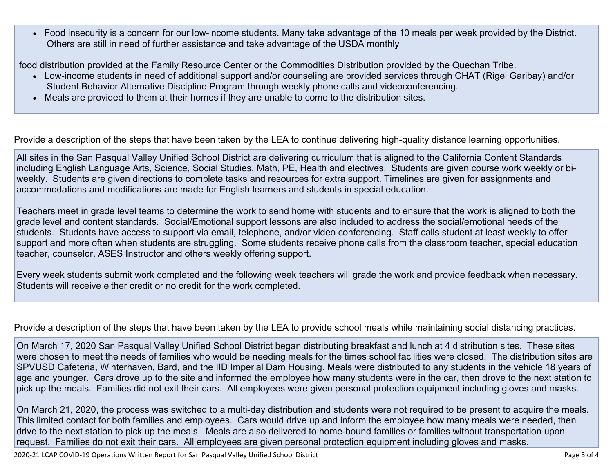Food insecurity is a concern for our low-income students. Many take advantage of the 10 meals per week provided by the District. Others are still in need of further assistance and take advantage of the USDA monthly

food distribution provided at the Family Resource Center or the Commodities Distribution provided by the Quechan Tribe.

- Low-income students in need of additional support and/or counseling are provided services through CHAT (Rigel Garibay) and/or Student Behavior Alternative Discipline Program through weekly phone calls and videoconferencing.
- Meals are provided to them at their homes if they are unable to come to the distribution sites.

Provide a description of the steps that have been taken by the LEA to continue delivering high-quality distance learning opportunities.

All sites in the San Pasqual Valley Unified School District are delivering curriculum that is aligned to the California Content Standards including English Language Arts, Science, Social Studies, Math, PE, Health and electives. Students are given course work weekly or biweekly. Students are given directions to complete tasks and resources for extra support. Timelines are given for assignments and accommodations and modifications are made for English learners and students in special education.

Teachers meet in grade level teams to determine the work to send home with students and to ensure that the work is aligned to both the grade level and content standards. Social/Emotional support lessons are also included to address the social/emotional needs of the students. Students have access to support via email, telephone, and/or video conferencing. Staff calls student at least weekly to offer support and more often when students are struggling. Some students receive phone calls from the classroom teacher, special education teacher, counselor, ASES Instructor and others weekly offering support.

Every week students submit work completed and the following week teachers will grade the work and provide feedback when necessary. Students will receive either credit or no credit for the work completed.

Provide a description of the steps that have been taken by the LEA to provide school meals while maintaining social distancing practices.

On March 17, 2020 San Pasqual Valley Unified School District began distributing breakfast and lunch at 4 distribution sites. These sites were chosen to meet the needs of families who would be needing meals for the times school facilities were closed. The distribution sites are SPVUSD Cafeteria, Winterhaven, Bard, and the IID Imperial Dam Housing. Meals were distributed to any students in the vehicle 18 years of age and younger. Cars drove up to the site and informed the employee how many students were in the car, then drove to the next station to pick up the meals. Families did not exit their cars. All employees were given personal protection equipment including gloves and masks.

On March 21, 2020, the process was switched to a multi-day distribution and students were not required to be present to acquire the meals. This limited contact for both families and employees. Cars would drive up and inform the employee how many meals were needed, then drive to the next station to pick up the meals. Meals are also delivered to home-bound families or families without transportation upon request. Families do not exit their cars. All employees are given personal protection equipment including gloves and masks.